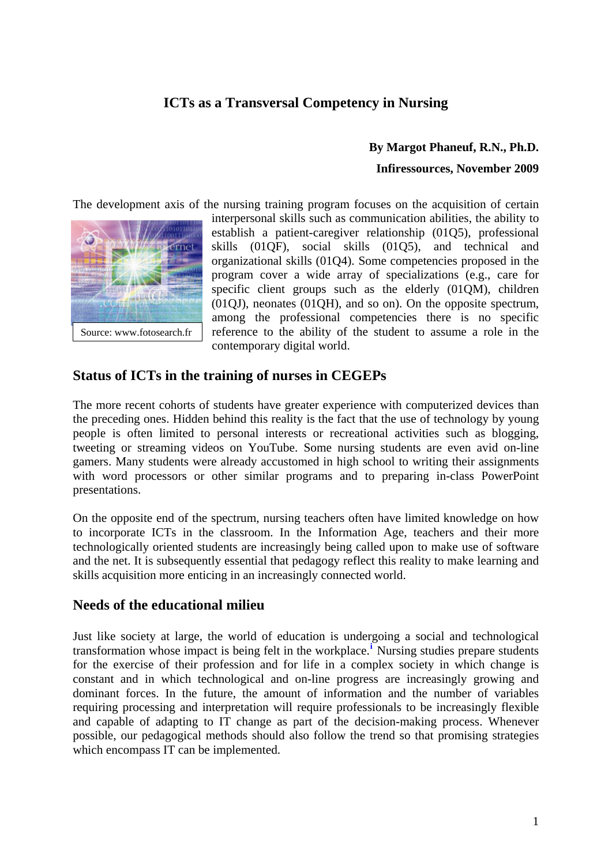## **ICTs as a Transversal Competency in Nursing**

### **By Margot Phaneuf, R.N., Ph.D.**

#### **Infiressources, November 2009**

The development axis of the nursing training program focuses on the acquisition of certain



interpersonal skills such as communication abilities, the ability to establish a patient-caregiver relationship (01Q5), professional skills (01QF), social skills (01Q5), and technical and organizational skills (01Q4). Some competencies proposed in the program cover a wide array of specializations (e.g., care for specific client groups such as the elderly (01QM), children (01QJ), neonates (01QH), and so on). On the opposite spectrum, among the professional competencies there is no specific reference to the ability of the student to assume a role in the contemporary digital world.

### **Status of ICTs in the training of nurses in CEGEPs**

The more recent cohorts of students have greater experience with computerized devices than the preceding ones. Hidden behind this reality is the fact that the use of technology by young people is often limited to personal interests or recreational activities such as blogging, tweeting or streaming videos on YouTube. Some nursing students are even avid on-line gamers. Many students were already accustomed in high school to writing their assignments with word processors or other similar programs and to preparing in-class PowerPoint presentations.

On the opposite end of the spectrum, nursing teachers often have limited knowledge on how to incorporate ICTs in the classroom. In the Information Age, teachers and their more technologically oriented students are increasingly being called upon to make use of software and the net. It is subsequently essential that pedagogy reflect this reality to make learning and skills acquisition more enticing in an increasingly connected world.

### **Needs of the educational milieu**

Just like society at large, the world of education is undergoing a social and technological transformation whose impact is being felt in the workplace.**[i](#page-8-0)** Nursing studies prepare students for the exercise of their profession and for life in a complex society in which change is constant and in which technological and on-line progress are increasingly growing and dominant forces. In the future, the amount of information and the number of variables requiring processing and interpretation will require professionals to be increasingly flexible and capable of adapting to IT change as part of the decision-making process. Whenever possible, our pedagogical methods should also follow the trend so that promising strategies which encompass IT can be implemented.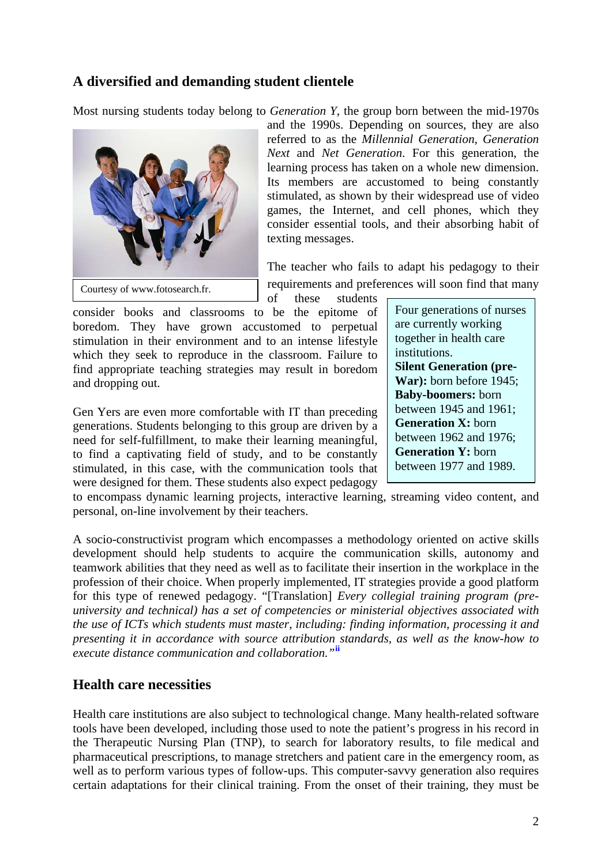### **A diversified and demanding student clientele**

Most nursing students today belong to *Generation Y*, the group born between the mid-1970s



and the 1990s. Depending on sources, they are also referred to as the *Millennial Generation*, *Generation Next* and *Net Generation*. For this generation, the learning process has taken on a whole new dimension. Its members are accustomed to being constantly stimulated, as shown by their widespread use of video games, the Internet, and cell phones, which they consider essential tools, and their absorbing habit of texting messages.

The teacher who fails to adapt his pedagogy to their requirements and preferences will soon find that many of these students

consider books and classrooms to be the epitome of boredom. They have grown accustomed to perpetual stimulation in their environment and to an intense lifestyle which they seek to reproduce in the classroom. Failure to find appropriate teaching strategies may result in boredom and dropping out.

Gen Yers are even more comfortable with IT than preceding generations. Students belonging to this group are driven by a need for self-fulfillment, to make their learning meaningful, to find a captivating field of study, and to be constantly stimulated, in this case, with the communication tools that were designed for them. These students also expect pedagogy

Four generations of nurses are currently working together in health care institutions. **Silent Generation (pre-War):** born before 1945; **Baby-boomers:** born between 1945 and 1961; **Generation X:** born between 1962 and 1976; **Generation Y:** born between 1977 and 1989.

to encompass dynamic learning projects, interactive learning, streaming video content, and personal, on-line involvement by their teachers.

A socio-constructivist program which encompasses a methodology oriented on active skills development should help students to acquire the communication skills, autonomy and teamwork abilities that they need as well as to facilitate their insertion in the workplace in the profession of their choice. When properly implemented, IT strategies provide a good platform for this type of renewed pedagogy. "[Translation] *Every collegial training program (preuniversity and technical) has a set of competencies or ministerial objectives associated with the use of ICTs which students must master, including: finding information, processing it and presenting it in accordance with source attribution standards, as well as the know-how to execute distance communication and collaboration."***[ii](#page-9-0)**

### **Health care necessities**

Health care institutions are also subject to technological change. Many health-related software tools have been developed, including those used to note the patient's progress in his record in the Therapeutic Nursing Plan (TNP), to search for laboratory results, to file medical and pharmaceutical prescriptions, to manage stretchers and patient care in the emergency room, as well as to perform various types of follow-ups. This computer-savvy generation also requires certain adaptations for their clinical training. From the onset of their training, they must be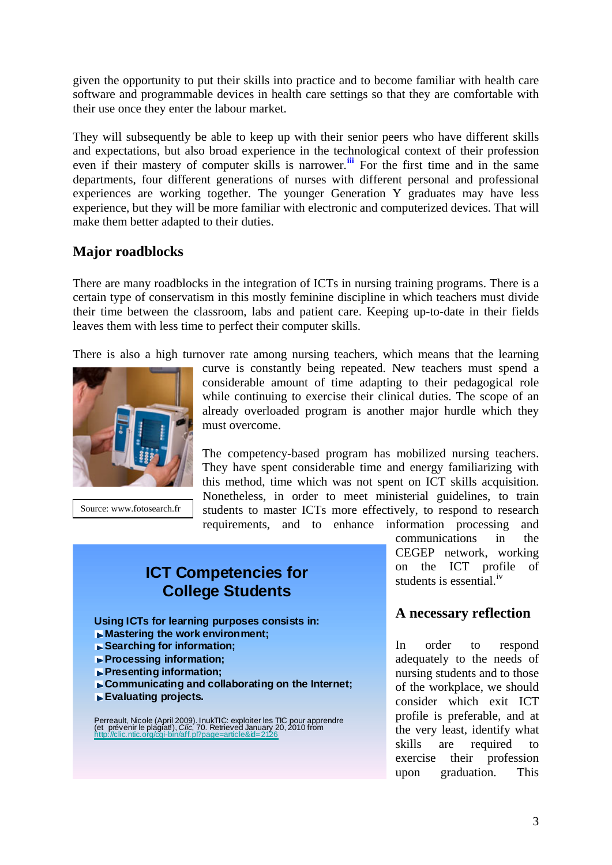given the opportunity to put their skills into practice and to become familiar with health care software and programmable devices in health care settings so that they are comfortable with their use once they enter the labour market.

They will subsequently be able to keep up with their senior peers who have different skills and expectations, but also broad experience in the technological context of their profession even if their mastery of computer skills is narrower.**[iii](#page-9-1)** For the first time and in the same departments, four different generations of nurses with different personal and professional experiences are working together. The younger Generation Y graduates may have less experience, but they will be more familiar with electronic and computerized devices. That will make them better adapted to their duties.

### **Major roadblocks**

There are many roadblocks in the integration of ICTs in nursing training programs. There is a certain type of conservatism in this mostly feminine discipline in which teachers must divide their time between the classroom, labs and patient care. Keeping up-to-date in their fields leaves them with less time to perfect their computer skills.

There is also a high turnover rate among nursing teachers, which means that the learning



Source: www.fotosearch.fr

curve is constantly being repeated. New teachers must spend a considerable amount of time adapting to their pedagogical role while continuing to exercise their clinical duties. The scope of an already overloaded program is another major hurdle which they must overcome.

The competency-based program has mobilized nursing teachers. They have spent considerable time and energy familiarizing with this method, time which was not spent on ICT skills acquisition. Nonetheless, in order to meet ministerial guidelines, to train students to master ICTs more effectively, to respond to research requirements, and to enhance information processing and

## **ICT Competencies for College Students**

**Using ICTs for learning purposes consists in:**

- **Mastering the work environment;**
- **Searching for information;**
- **Processing information;**
- **Presenting information;**
- **Communicating and collaborating on the Internet;**
- **Evaluating projects.**

Perreault, Nicole (April 2009). InukTIC: exploiter les TIC pour apprendre<br>(et prévenir le plagiat!), *Clic*, 70. Retrieved January 20, 2010 from<br>http://clic.ntic.org/cgi-bin/aff.pl?page=article&id=2126

communications in the CEGEP network, working on the ICT profile of students is essential.<sup>iv</sup>

### **A necessary reflection**

In order to respond adequately to the needs of nursing students and to those of the workplace, we should consider which exit ICT profile is preferable, and at the very least, identify what skills are required to exercise their profession upon graduation. This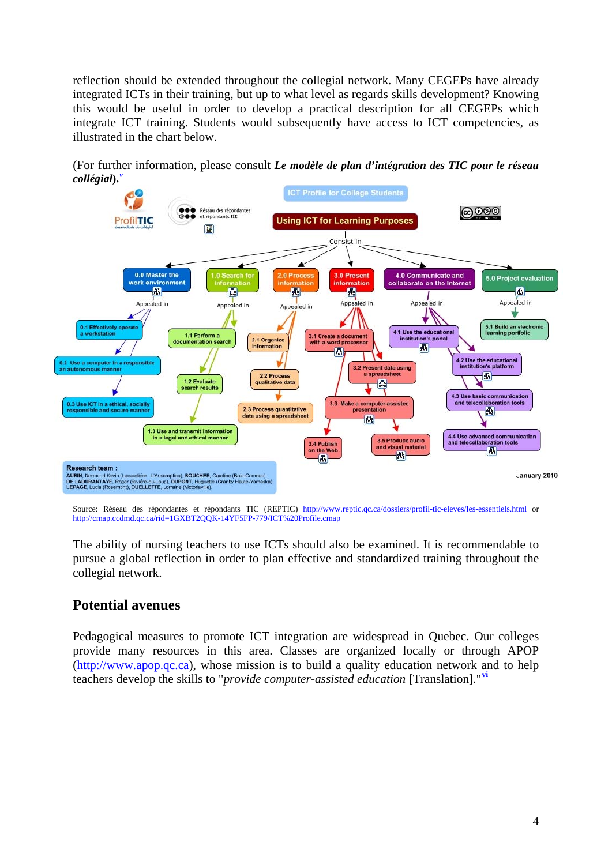reflection should be extended throughout the collegial network. Many CEGEPs have already integrated ICTs in their training, but up to what level as regards skills development? Knowing this would be useful in order to develop a practical description for all CEGEPs which integrate ICT training. Students would subsequently have access to ICT competencies, as illustrated in the chart below.

(For further information, please consult *Le modèle de plan d'intégration des TIC pour le réseau collégial***).***[v](#page-9-2)*



Source: Réseau des répondantes et répondants TIC (REPTIC) <http://www.reptic.qc.ca/dossiers/profil-tic-eleves/les-essentiels.html> or <http://cmap.ccdmd.qc.ca/rid=1GXBT2QQK-14YF5FP-779/ICT%20Profile.cmap>

The ability of nursing teachers to use ICTs should also be examined. It is recommendable to pursue a global reflection in order to plan effective and standardized training throughout the collegial network.

### **Potential avenues**

Pedagogical measures to promote ICT integration are widespread in Quebec. Our colleges provide many resources in this area. Classes are organized locally or through APOP (http://www.apop.qc.ca), whose mission is to build a quality education network and to help teachers develop the skills to "*provide computer-assisted education* [Translation]*.*" **[vi](#page-9-3)**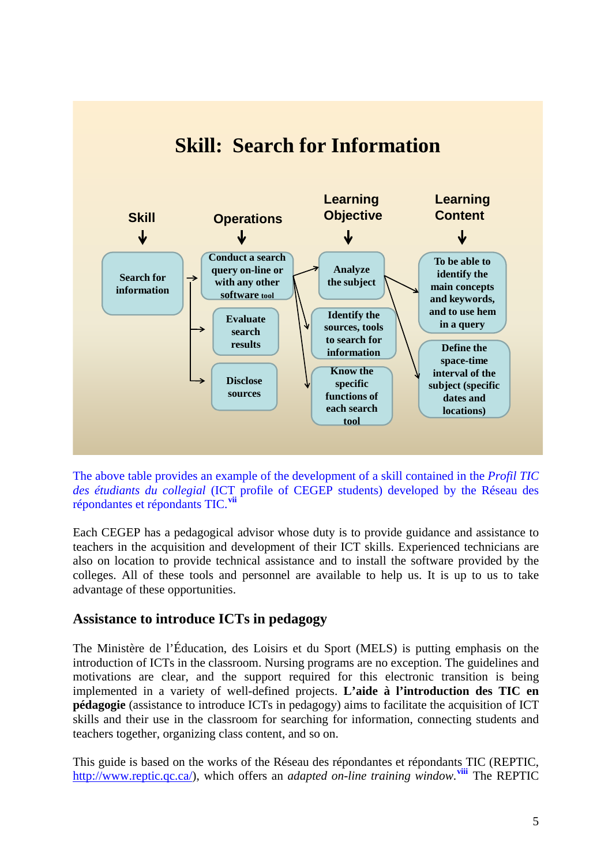

# **Skill: Search for Information**

The above table provides an example of the development of a skill contained in the *Profil TIC des étudiants du collegial* (ICT profile of CEGEP students) developed by the Réseau des répondantes et répondants TIC.**[vii](#page-9-4)**

Each CEGEP has a pedagogical advisor whose duty is to provide guidance and assistance to teachers in the acquisition and development of their ICT skills. Experienced technicians are also on location to provide technical assistance and to install the software provided by the colleges. All of these tools and personnel are available to help us. It is up to us to take advantage of these opportunities.

### **Assistance to introduce ICTs in pedagogy**

The Ministère de l'Éducation, des Loisirs et du Sport (MELS) is putting emphasis on the introduction of ICTs in the classroom. Nursing programs are no exception. The guidelines and motivations are clear, and the support required for this electronic transition is being implemented in a variety of well-defined projects. **L'aide à l'introduction des TIC en pédagogie** (assistance to introduce ICTs in pedagogy) aims to facilitate the acquisition of ICT skills and their use in the classroom for searching for information, connecting students and teachers together, organizing class content, and so on.

This guide is based on the works of the Réseau des répondantes et répondants TIC (REPTIC, http://www.reptic.qc.ca/), which offers an *adapted on-line training window*. The REPTIC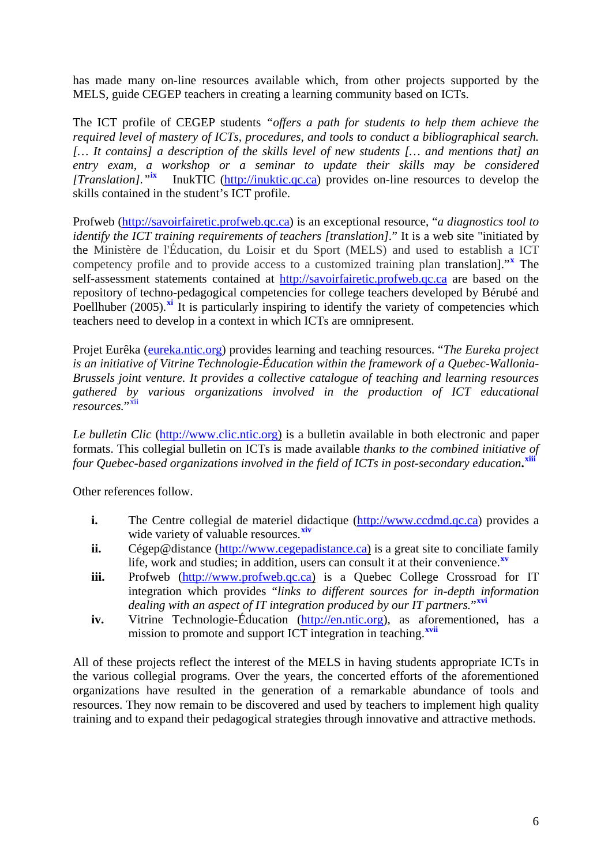has made many on-line resources available which, from other projects supported by the MELS, guide CEGEP teachers in creating a learning community based on ICTs.

The ICT profile of CEGEP students *"offers a path for students to help them achieve the required level of mastery of ICTs, procedures, and tools to conduct a bibliographical search. [… It contains] a description of the skills level of new students [… and mentions that] an entry exam, a workshop or a seminar to update their skills may be considered [Translation]."***[ix](#page-9-6)** InukTIC (http://inuktic.qc.ca) provides on-line resources to develop the skills contained in the student's ICT profile.

Profweb (http://savoirfairetic.profweb.qc.ca) is an exceptional resource, "*a diagnostics tool to identify the ICT training requirements of teachers [translation]*." It is a web site "initiated by the Ministère de l'Éducation, du Loisir et du Sport (MELS) and used to establish a ICT competency profile and to provide access to a customized training plan translation]."**[x](#page-9-7)** The self-assessment statements contained at http://savoirfairetic.profweb.qc.ca are based on the repository of techno-pedagogical competencies for college teachers developed by Bérubé and Poellhuber (2005).<sup>[xi](#page-9-8)</sup> It is particularly inspiring to identify the variety of competencies which teachers need to develop in a context in which ICTs are omnipresent.

Projet Eurêka (eureka.ntic.org) provides learning and teaching resources. "*The Eureka project is an initiative of Vitrine Technologie-Éducation within the framework of a Quebec-Wallonia-Brussels joint venture. It provides a collective catalogue of teaching and learning resources gathered by various organizations involved in the production of ICT educational resources.*"

*Le bulletin Clic* (http://www.clic.ntic.org) is a bulletin available in both electronic and paper formats. This collegial bulletin on ICTs is made available *thanks to the combined initiative of four Quebec-based organizations involved in the field of ICTs in post-secondary education***. [xiii](#page-10-0)**

Other references follow.

- **i.** The Centre collegial de materiel didactique (http://www.ccdmd.qc.ca) provides a wide variety of valuable resources.<sup>[xiv](#page-10-1)</sup>
- **ii.** Cégep@distance (http://www.cegepadistance.ca) is a great site to conciliate family life, work and studies; in addition, users can consult it at their convenience.**[xv](#page-10-2)**
- **iii.** Profweb (http://www.profweb.qc.ca) is a Quebec College Crossroad for IT integration which provides "*links to different sources for in-depth information dealing with an aspect of IT integration produced by our IT partners.*"**[xvi](#page-10-3)**
- **iv.** Vitrine Technologie-Éducation (http://en.ntic.org), as aforementioned, has a mission to promote and support ICT integration in teaching.**[xvii](#page-10-4)**

All of these projects reflect the interest of the MELS in having students appropriate ICTs in the various collegial programs. Over the years, the concerted efforts of the aforementioned organizations have resulted in the generation of a remarkable abundance of tools and resources. They now remain to be discovered and used by teachers to implement high quality training and to expand their pedagogical strategies through innovative and attractive methods.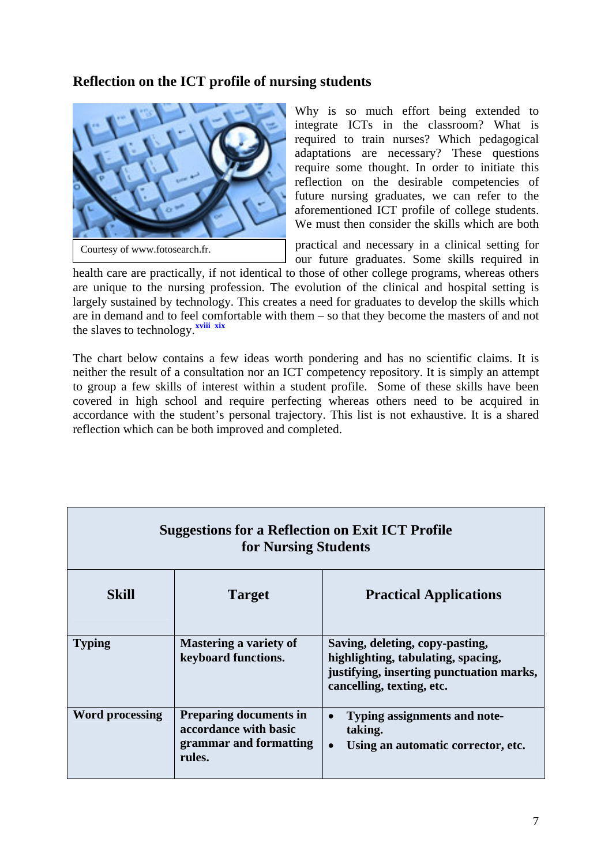### **Reflection on the ICT profile of nursing students**



Why is so much effort being extended to integrate ICTs in the classroom? What is required to train nurses? Which pedagogical adaptations are necessary? These questions require some thought. In order to initiate this reflection on the desirable competencies of future nursing graduates, we can refer to the aforementioned ICT profile of college students. We must then consider the skills which are both

practical and necessary in a clinical setting for our future graduates. Some skills required in

health care are practically, if not identical to those of other college programs, whereas others are unique to the nursing profession. The evolution of the clinical and hospital setting is largely sustained by technology. This creates a need for graduates to develop the skills which are in demand and to feel comfortable with them – so that they become the masters of and not the slaves to technology.<sup>xviii</sup> xix</sub>

The chart below contains a few ideas worth pondering and has no scientific claims. It is neither the result of a consultation nor an ICT competency repository. It is simply an attempt to group a few skills of interest within a student profile. Some of these skills have been covered in high school and require perfecting whereas others need to be acquired in accordance with the student's personal trajectory. This list is not exhaustive. It is a shared reflection which can be both improved and completed.

| <b>Suggestions for a Reflection on Exit ICT Profile</b><br>for Nursing Students |                                                                                            |                                                                                                                                                |  |
|---------------------------------------------------------------------------------|--------------------------------------------------------------------------------------------|------------------------------------------------------------------------------------------------------------------------------------------------|--|
| <b>Skill</b>                                                                    | <b>Target</b>                                                                              | <b>Practical Applications</b>                                                                                                                  |  |
| <b>Typing</b>                                                                   | Mastering a variety of<br>keyboard functions.                                              | Saving, deleting, copy-pasting,<br>highlighting, tabulating, spacing,<br>justifying, inserting punctuation marks,<br>cancelling, texting, etc. |  |
| <b>Word processing</b>                                                          | <b>Preparing documents in</b><br>accordance with basic<br>grammar and formatting<br>rules. | Typing assignments and note-<br>taking.<br>Using an automatic corrector, etc.<br>$\bullet$                                                     |  |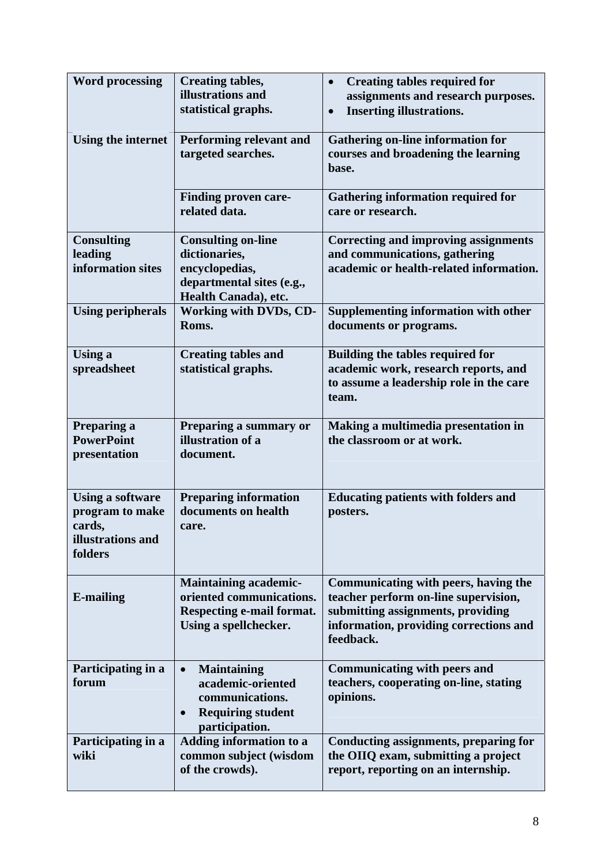| <b>Word processing</b>                                                               | <b>Creating tables,</b><br>illustrations and<br>statistical graphs.                                                                | <b>Creating tables required for</b><br>assignments and research purposes.<br><b>Inserting illustrations.</b><br>$\bullet$                                                |
|--------------------------------------------------------------------------------------|------------------------------------------------------------------------------------------------------------------------------------|--------------------------------------------------------------------------------------------------------------------------------------------------------------------------|
| <b>Using the internet</b>                                                            | Performing relevant and<br>targeted searches.                                                                                      | <b>Gathering on-line information for</b><br>courses and broadening the learning<br>base.                                                                                 |
|                                                                                      | <b>Finding proven care-</b><br>related data.                                                                                       | <b>Gathering information required for</b><br>care or research.                                                                                                           |
| <b>Consulting</b><br>leading<br>information sites                                    | <b>Consulting on-line</b><br>dictionaries,<br>encyclopedias,<br>departmental sites (e.g.,<br>Health Canada), etc.                  | <b>Correcting and improving assignments</b><br>and communications, gathering<br>academic or health-related information.                                                  |
| <b>Using peripherals</b>                                                             | <b>Working with DVDs, CD-</b><br>Roms.                                                                                             | Supplementing information with other<br>documents or programs.                                                                                                           |
| <b>Using a</b><br>spreadsheet                                                        | <b>Creating tables and</b><br>statistical graphs.                                                                                  | <b>Building the tables required for</b><br>academic work, research reports, and<br>to assume a leadership role in the care<br>team.                                      |
| Preparing a<br><b>PowerPoint</b><br>presentation                                     | Preparing a summary or<br>illustration of a<br>document.                                                                           | Making a multimedia presentation in<br>the classroom or at work.                                                                                                         |
| <b>Using a software</b><br>program to make<br>cards,<br>illustrations and<br>folders | <b>Preparing information</b><br>documents on health<br>care.                                                                       | <b>Educating patients with folders and</b><br>posters.                                                                                                                   |
| <b>E-mailing</b>                                                                     | <b>Maintaining academic-</b><br>oriented communications.<br>Respecting e-mail format.<br>Using a spellchecker.                     | Communicating with peers, having the<br>teacher perform on-line supervision,<br>submitting assignments, providing<br>information, providing corrections and<br>feedback. |
| Participating in a<br>forum                                                          | <b>Maintaining</b><br>$\bullet$<br>academic-oriented<br>communications.<br><b>Requiring student</b><br>$\bullet$<br>participation. | <b>Communicating with peers and</b><br>teachers, cooperating on-line, stating<br>opinions.                                                                               |
| Participating in a<br>wiki                                                           | <b>Adding information to a</b><br>common subject (wisdom<br>of the crowds).                                                        | Conducting assignments, preparing for<br>the OIIQ exam, submitting a project<br>report, reporting on an internship.                                                      |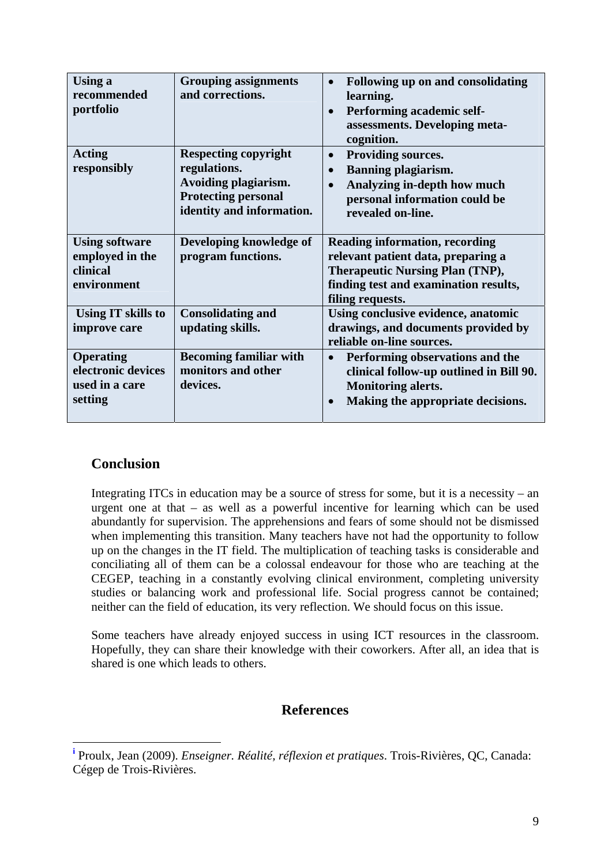| Using a<br>recommended<br>portfolio                                 | <b>Grouping assignments</b><br>and corrections.                                                                                | Following up on and consolidating<br>$\bullet$<br>learning.<br>Performing academic self-<br>$\bullet$<br>assessments. Developing meta-<br>cognition.                               |
|---------------------------------------------------------------------|--------------------------------------------------------------------------------------------------------------------------------|------------------------------------------------------------------------------------------------------------------------------------------------------------------------------------|
| <b>Acting</b><br>responsibly                                        | <b>Respecting copyright</b><br>regulations.<br>Avoiding plagiarism.<br><b>Protecting personal</b><br>identity and information. | <b>Providing sources.</b><br>$\bullet$<br><b>Banning plagiarism.</b><br>$\bullet$<br>Analyzing in-depth how much<br>personal information could be<br>revealed on-line.             |
| <b>Using software</b><br>employed in the<br>clinical<br>environment | Developing knowledge of<br>program functions.                                                                                  | <b>Reading information, recording</b><br>relevant patient data, preparing a<br><b>Therapeutic Nursing Plan (TNP),</b><br>finding test and examination results,<br>filing requests. |
| Using IT skills to<br>improve care                                  | <b>Consolidating and</b><br>updating skills.                                                                                   | Using conclusive evidence, anatomic<br>drawings, and documents provided by<br>reliable on-line sources.                                                                            |
| <b>Operating</b><br>electronic devices<br>used in a care<br>setting | <b>Becoming familiar with</b><br>monitors and other<br>devices.                                                                | Performing observations and the<br>$\bullet$<br>clinical follow-up outlined in Bill 90.<br><b>Monitoring alerts.</b><br>Making the appropriate decisions.                          |

### **Conclusion**

<u>.</u>

Integrating ITCs in education may be a source of stress for some, but it is a necessity – an urgent one at that – as well as a powerful incentive for learning which can be used abundantly for supervision. The apprehensions and fears of some should not be dismissed when implementing this transition. Many teachers have not had the opportunity to follow up on the changes in the IT field. The multiplication of teaching tasks is considerable and conciliating all of them can be a colossal endeavour for those who are teaching at the CEGEP, teaching in a constantly evolving clinical environment, completing university studies or balancing work and professional life. Social progress cannot be contained; neither can the field of education, its very reflection. We should focus on this issue.

Some teachers have already enjoyed success in using ICT resources in the classroom. Hopefully, they can share their knowledge with their coworkers. After all, an idea that is shared is one which leads to others.

### **References**

<span id="page-8-0"></span>**i** Proulx, Jean (2009). *Enseigner. Réalité, réflexion et pratiques*. Trois-Rivières, QC, Canada: Cégep de Trois-Rivières.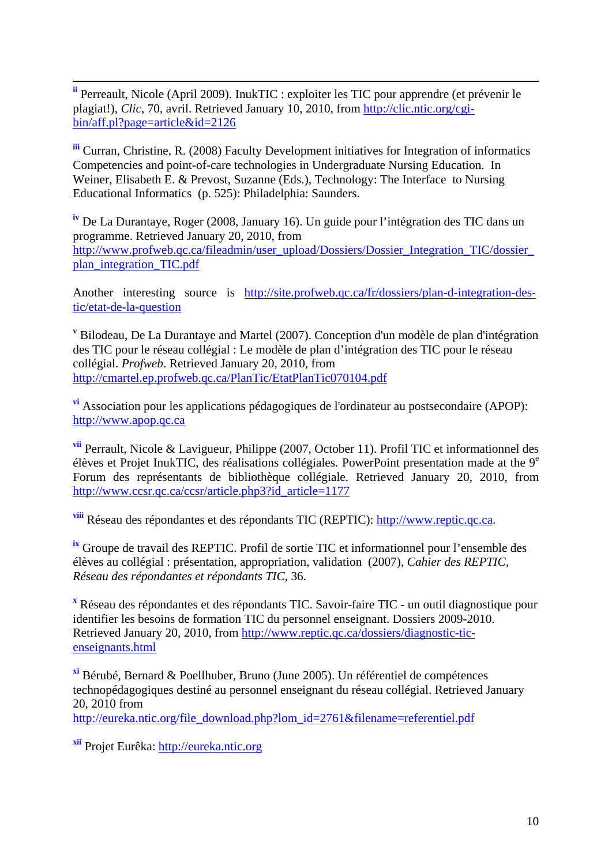<span id="page-9-0"></span> **ii** Perreault, Nicole (April 2009). InukTIC : exploiter les TIC pour apprendre (et prévenir le plagiat!), *Clic*, 70, avril. Retrieved January 10, 2010, from http://clic.ntic.org/cgibin/aff.pl?page=article&id=2126

<span id="page-9-1"></span>**iii** Curran, Christine, R. (2008) Faculty Development initiatives for Integration of informatics Competencies and point-of-care technologies in Undergraduate Nursing Education. In Weiner, Elisabeth E. & Prevost, Suzanne (Eds.), Technology: The Interface to Nursing Educational Informatics (p. 525): Philadelphia: Saunders.

**iv** De La Durantaye, Roger (2008, January 16). Un guide pour l'intégration des TIC dans un programme. Retrieved January 20, 2010, from http://www.profweb.qc.ca/fileadmin/user\_upload/Dossiers/Dossier\_Integration\_TIC/dossier plan\_integration\_TIC.pdf

Another interesting source is http://site.profweb.qc.ca/fr/dossiers/plan-d-integration-destic/etat-de-la-question

<span id="page-9-2"></span>**<sup>v</sup>** Bilodeau, De La Durantaye and Martel (2007). Conception d'un modèle de plan d'intégration des TIC pour le réseau collégial : Le modèle de plan d'intégration des TIC pour le réseau collégial. *Profweb*. Retrieved January 20, 2010, from http://cmartel.ep.profweb.qc.ca/PlanTic/EtatPlanTic070104.pdf

<span id="page-9-3"></span>**vi** Association pour les applications pédagogiques de l'ordinateur au postsecondaire (APOP): http://www.apop.qc.ca

<span id="page-9-4"></span>**vii** Perrault, Nicole & Lavigueur, Philippe (2007, October 11). Profil TIC et informationnel des élèves et Projet InukTIC, des réalisations collégiales*.* PowerPoint presentation made at the 9e Forum des représentants de bibliothèque collégiale. Retrieved January 20, 2010, from http://www.ccsr.qc.ca/ccsr/article.php3?id\_article=1177

<span id="page-9-5"></span>**viii** Réseau des répondantes et des répondants TIC (REPTIC): http://www.reptic.qc.ca.

<span id="page-9-6"></span>**ix** Groupe de travail des REPTIC. Profil de sortie TIC et informationnel pour l'ensemble des élèves au collégial : présentation, appropriation, validation (2007), *Cahier des REPTIC, Réseau des répondantes et répondants TIC*, 36.

<span id="page-9-7"></span>**x** Réseau des répondantes et des répondants TIC. Savoir-faire TIC - un outil diagnostique pour identifier les besoins de formation TIC du personnel enseignant. Dossiers 2009-2010. Retrieved January 20, 2010, from http://www.reptic.qc.ca/dossiers/diagnostic-ticenseignants.html

<span id="page-9-8"></span>**xi** Bérubé, Bernard & Poellhuber, Bruno (June 2005). Un référentiel de compétences technopédagogiques destiné au personnel enseignant du réseau collégial. Retrieved January 20, 2010 from

http://eureka.ntic.org/file\_download.php?lom\_id=2761&filename=referentiel.pdf

<span id="page-9-9"></span>**xii** Projet Eurêka: http://eureka.ntic.org